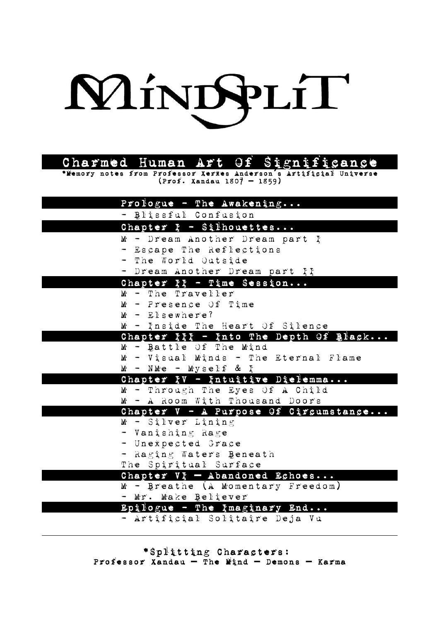

| Charmed Human Art Of Significance |  |  |  |  |
|-----------------------------------|--|--|--|--|
|-----------------------------------|--|--|--|--|

\*Memory notes from Professor Xerxes Anderson s Artificial Universe **´** (Prof. Xandau 1807 1859) **–**

| Prologue - The Awakening                                     |
|--------------------------------------------------------------|
| - Blissful Confusion                                         |
| Chapter $F - S$ ilhouettes                                   |
| M - Dream Another Dream part I                               |
| - Escape The Reflections                                     |
| - The World Outside                                          |
| - Dream Another Dream part II                                |
| Chapter $I_1 - T$ ime Session                                |
| M - The Traveller                                            |
| $M -$ Presence Of Time                                       |
| $M -$ Elsewhere?                                             |
| M - Inside The Heart Of Silence                              |
| Chapter III - Into The Depth Of Black                        |
| $M -$ Battle Of The Mind                                     |
| M - Visual Minds - The Eternal Flame                         |
| $M - NMe - Myself &$                                         |
| Chapter IV - Intuitive Dielemma                              |
| M - Through The Eyes Of A Child                              |
| M - A Room With Thousand Doors                               |
| Chapter V - A Purpose Of Circumstance<br>$M -$ Silver Lining |
| - Vanishing Rage                                             |
| - Unexpected Grace                                           |
| - Raging Waters Beneath                                      |
| The Spiritual Surface                                        |
| Chapter $V_{\tau}$ - Abandoned Echoes                        |
| M - Breathe (A Momentary Freedom)                            |
| - Mr. Make Believer                                          |
| Epilogue - The Imaginary End                                 |
| - Artificial Solitaire Deja Vu                               |
|                                                              |

\*Splitting Characters: Professor Xandau - The Mind - Demons - Karma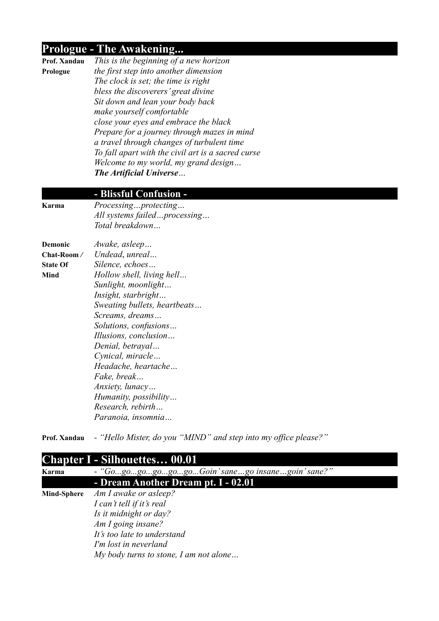### **Prologue - The Awakening...**

|    | Prof. Xanda |  |
|----|-------------|--|
| T. |             |  |

**Prof. Xandau** *This is the beginning of a new horizon*  **Prologue** *the first step into another dimension The clock is set; the time is right bless the discoverers' great divine Sit down and lean your body back make yourself comfortable close your eyes and embrace the black Prepare for a journey through mazes in mind a travel through changes of turbulent time To fall apart with the civil art is a sacred curse Welcome to my world, my grand design… The Artificial Universe…*

#### **- Blissful Confusion -**

**Karma** *Processing…protecting…*

**Demonic** *Awake, asleep…*

*All systems failed…processing… Total breakdown…* 

**Chat-Room** */ Undead*, *unreal…* **State Of** *Silence, echoes…* **Mind** *Hollow shell, living hell… Sunlight, moonlight… Insight, starbright… Sweating bullets, heartbeats… Screams, dreams… Solutions, confusions… Illusions, conclusion… Denial, betrayal… Cynical, miracle… Headache, heartache… Fake, break… Anxiety, lunacy… Humanity, possibility… Research, rebirth… Paranoia, insomnia…*

**Prof. Xandau** *- "Hello Mister, do you "MIND" and step into my office please?"*

### **Chapter I - Silhouettes… 00.01**

| Karma              | - "GogogogogogoGoin'sanego insanegoin'sane?"<br>- Dream Another Dream pt. I - 02.01 |  |  |
|--------------------|-------------------------------------------------------------------------------------|--|--|
|                    |                                                                                     |  |  |
| <b>Mind-Sphere</b> | Am I awake or asleep?                                                               |  |  |
|                    | I can't tell if it's real                                                           |  |  |
|                    | Is it midnight or day?                                                              |  |  |
|                    | Am I going insane?                                                                  |  |  |
|                    | It's too late to understand                                                         |  |  |
|                    | I'm lost in neverland                                                               |  |  |
|                    | My body turns to stone, I am not alone                                              |  |  |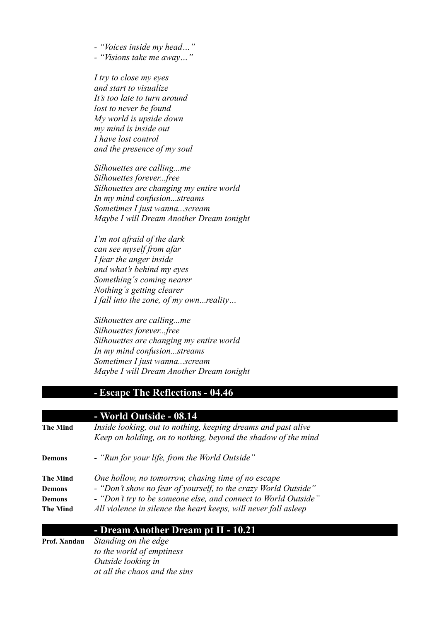*- "Voices inside my head…"*

*- "Visions take me away…"*

*I try to close my eyes and start to visualize It's too late to turn around lost to never be found My world is upside down my mind is inside out I have lost control and the presence of my soul*

*Silhouettes are calling...me Silhouettes forever...free Silhouettes are changing my entire world In my mind confusion...streams Sometimes I just wanna...scream Maybe I will Dream Another Dream tonight*

*I'm not afraid of the dark can see myself from afar I fear the anger inside and what's behind my eyes Something´s coming nearer Nothing´s getting clearer I fall into the zone, of my own*...*reality…*

*Silhouettes are calling...me Silhouettes forever...free Silhouettes are changing my entire world In my mind confusion...streams Sometimes I just wanna...scream Maybe I will Dream Another Dream tonight*

### **- Escape The Reflections - 04.46**

**- World Outside - 08.14**

| The Mind                                 | Inside looking, out to nothing, keeping dreams and past alive<br>Keep on holding, on to nothing, beyond the shadow of the mind                                                                                                                            |
|------------------------------------------|-----------------------------------------------------------------------------------------------------------------------------------------------------------------------------------------------------------------------------------------------------------|
| Demons                                   | - "Run for your life, from the World Outside"                                                                                                                                                                                                             |
| The Mind<br>Demons<br>Demons<br>The Mind | One hollow, no tomorrow, chasing time of no escape<br>- "Don't show no fear of yourself, to the crazy World Outside"<br>- "Don't try to be someone else, and connect to World Outside"<br>All violence in silence the heart keeps, will never fall asleep |

### **- Dream Another Dream pt II - 10.21**

**Prof. Xandau** *Standing on the edge to the world of emptiness Outside looking in at all the chaos and the sins*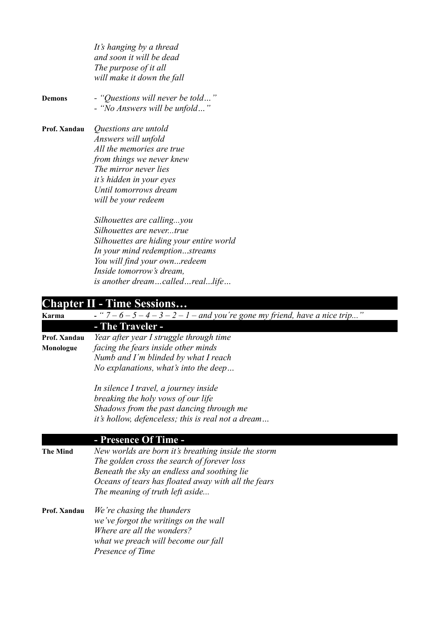*It's hanging by a thread and soon it will be dead The purpose of it all will make it down the fall* **Demons** *- "Questions will never be told…" - "No Answers will be unfold…"* **Prof. Xandau** *Questions are untold Answers will unfold All the memories are true from things we never knew The mirror never lies it's hidden in your eyes Until tomorrows dream will be your redeem*

> *Silhouettes are calling...you Silhouettes are never...true Silhouettes are hiding your entire world In your mind redemption*...*streams You will find your own*...*redeem Inside tomorrow's dream, is another dream…called…real*...*life…*

#### **Chapter II - Time Sessions…**

**Karma**  $\overline{\text{Karma}}$   $\overline{\text{S} - \text{S} - \text{S} - \text{S} - \text{S} - \text{S} - \text{S} - \text{S} - \text{S} - \text{S} - \text{S} - \text{S} - \text{S} - \text{S} - \text{S} - \text{S} - \text{S} - \text{S} - \text{S} - \text{S} - \text{S} - \text{S} - \text{S} - \text{S} - \text{S} - \text{S} - \text{S} - \text{S} - \text{S} - \text{S} - \text{S} - \text{S} - \text{S}$ **- The Traveler - Prof. Xandau** *Year after year I struggle through time* **Monologue** *facing the fears inside other minds Numb and I´m blinded by what I reach No explanations, what's into the deep… In silence I travel, a journey inside breaking the holy vows of our life Shadows from the past dancing through me it's hollow, defenceless; this is real not a dream…* **- Presence Of Time - The Mind** *New worlds are born it's breathing inside the storm The golden cross the search of forever loss Beneath the sky an endless and soothing lie*

*Oceans of tears has floated away with all the fears*

*The meaning of truth left aside...* **Prof. Xandau** *We're chasing the thunders we've forgot the writings on the wall Where are all the wonders? what we preach will become our fall Presence of Time*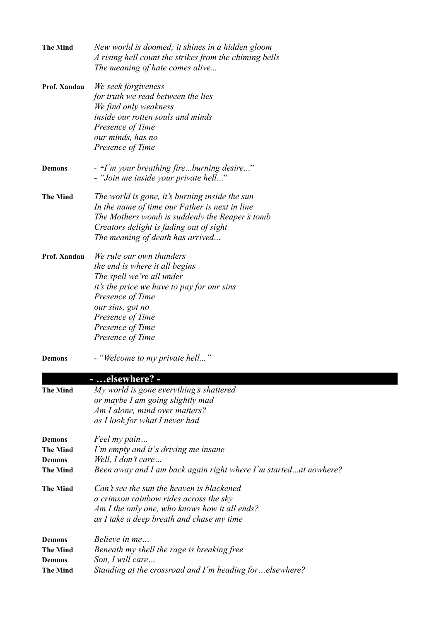| <b>The Mind</b> | New world is doomed; it shines in a hidden gloom<br>A rising hell count the strikes from the chiming bells<br>The meaning of hate comes alive |
|-----------------|-----------------------------------------------------------------------------------------------------------------------------------------------|
| Prof. Xandau    | We seek forgiveness                                                                                                                           |
|                 | for truth we read between the lies                                                                                                            |
|                 | We find only weakness                                                                                                                         |
|                 | inside our rotten souls and minds                                                                                                             |
|                 | Presence of Time                                                                                                                              |
|                 | our minds, has no                                                                                                                             |
|                 | Presence of Time                                                                                                                              |
| <b>Demons</b>   | - "I'm your breathing fireburning desire"<br>- "Join me inside your private hell"                                                             |
| <b>The Mind</b> | The world is gone, it's burning inside the sun                                                                                                |
|                 | In the name of time our Father is next in line                                                                                                |
|                 | The Mothers womb is suddenly the Reaper's tomb                                                                                                |
|                 | Creators delight is fading out of sight                                                                                                       |
|                 | The meaning of death has arrived                                                                                                              |
| Prof. Xandau    | We rule our own thunders                                                                                                                      |
|                 | the end is where it all begins                                                                                                                |
|                 | The spell we're all under                                                                                                                     |
|                 | it's the price we have to pay for our sins                                                                                                    |
|                 | Presence of Time                                                                                                                              |
|                 | our sins, got no                                                                                                                              |
|                 | Presence of Time                                                                                                                              |
|                 | Presence of Time                                                                                                                              |
|                 | Presence of Time                                                                                                                              |
| <b>Demons</b>   | - "Welcome to my private hell"                                                                                                                |
|                 | - elsewhere? -                                                                                                                                |
| <b>The Mind</b> | My world is gone everything's shattered                                                                                                       |
|                 | or maybe I am going slightly mad                                                                                                              |
|                 | Am I alone, mind over matters?                                                                                                                |
|                 | as I look for what I never had                                                                                                                |
| <b>Demons</b>   | Feel my pain                                                                                                                                  |
| <b>The Mind</b> | I'm empty and it's driving me insane                                                                                                          |
| Demons          | Well, I don't care                                                                                                                            |
| <b>The Mind</b> | Been away and I am back again right where I'm startedat nowhere?                                                                              |
| <b>The Mind</b> | Can't see the sun the heaven is blackened                                                                                                     |
|                 | a crimson rainbow rides across the sky                                                                                                        |
|                 | Am I the only one, who knows how it all ends?                                                                                                 |
|                 | as I take a deep breath and chase my time                                                                                                     |
| <b>Demons</b>   | Believe in me                                                                                                                                 |
| <b>The Mind</b> | Beneath my shell the rage is breaking free                                                                                                    |
| <b>Demons</b>   | Son, I will care                                                                                                                              |
| <b>The Mind</b> | Standing at the crossroad and I'm heading forelsewhere?                                                                                       |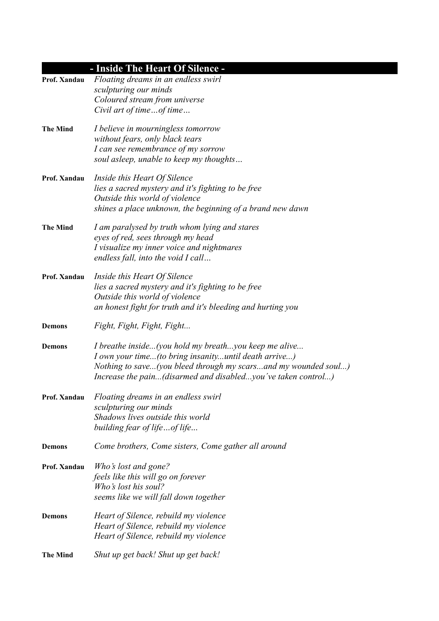# **- Inside The Heart Of Silence -**

| Prof. Xandau    | Floating dreams in an endless swirl<br>sculpturing our minds   |
|-----------------|----------------------------------------------------------------|
|                 | Coloured stream from universe                                  |
|                 | Civil art of timeof time                                       |
| <b>The Mind</b> | I believe in mourningless tomorrow                             |
|                 | without fears, only black tears                                |
|                 | I can see remembrance of my sorrow                             |
|                 | soul asleep, unable to keep my thoughts                        |
| Prof. Xandau    | Inside this Heart Of Silence                                   |
|                 | lies a sacred mystery and it's fighting to be free             |
|                 | Outside this world of violence                                 |
|                 | shines a place unknown, the beginning of a brand new dawn      |
| <b>The Mind</b> | I am paralysed by truth whom lying and stares                  |
|                 | eyes of red, sees through my head                              |
|                 | I visualize my inner voice and nightmares                      |
|                 | endless fall, into the void I call                             |
| Prof. Xandau    | Inside this Heart Of Silence                                   |
|                 | lies a sacred mystery and it's fighting to be free             |
|                 | Outside this world of violence                                 |
|                 | an honest fight for truth and it's bleeding and hurting you    |
| <b>Demons</b>   | Fight, Fight, Fight, Fight                                     |
| <b>Demons</b>   | I breathe inside(you hold my breathyou keep me alive           |
|                 | I own your time(to bring insanityuntil death arrive)           |
|                 | Nothing to save(you bleed through my scarsand my wounded soul) |
|                 | Increase the pain(disarmed and disabledyou've taken control)   |
| Prof. Xandau    | Floating dreams in an endless swirl                            |
|                 | sculpturing our minds                                          |
|                 | Shadows lives outside this world                               |
|                 | building fear of lifeof life                                   |
| <b>Demons</b>   | Come brothers, Come sisters, Come gather all around            |
| Prof. Xandau    | Who's lost and gone?                                           |
|                 | feels like this will go on forever                             |
|                 | Who's lost his soul?                                           |
|                 | seems like we will fall down together                          |
| <b>Demons</b>   | Heart of Silence, rebuild my violence                          |
|                 | Heart of Silence, rebuild my violence                          |
|                 | Heart of Silence, rebuild my violence                          |
| <b>The Mind</b> | Shut up get back! Shut up get back!                            |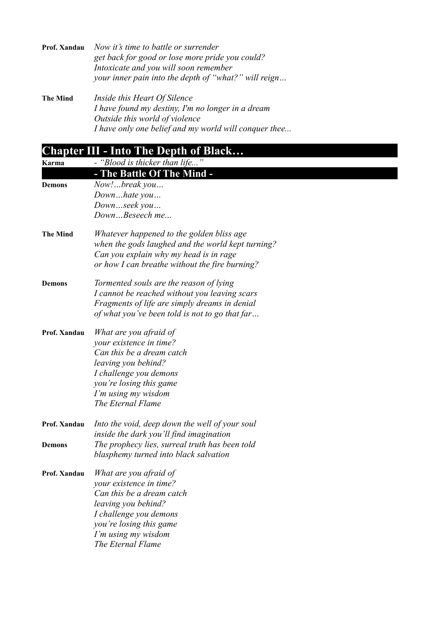| Prof. Xandau    | Now it's time to battle or surrender<br>get back for good or lose more pride you could?<br>Intoxicate and you will soon remember<br>your inner pain into the depth of "what?" will reign |
|-----------------|------------------------------------------------------------------------------------------------------------------------------------------------------------------------------------------|
| <b>The Mind</b> | Inside this Heart Of Silence<br>I have found my destiny, I'm no longer in a dream                                                                                                        |

*Outside this world of violence I have only one belief and my world will conquer thee...*

|                 | <b>Chapter III - Into The Depth of Black</b>                                                                                                                                                           |
|-----------------|--------------------------------------------------------------------------------------------------------------------------------------------------------------------------------------------------------|
| Karma           | - "Blood is thicker than life"                                                                                                                                                                         |
|                 | - The Battle Of The Mind -                                                                                                                                                                             |
| <b>Demons</b>   | Now!break you<br>Downhate you<br>Downseek you<br>DownBeseech me                                                                                                                                        |
| <b>The Mind</b> | Whatever happened to the golden bliss age<br>when the gods laughed and the world kept turning?<br>Can you explain why my head is in rage<br>or how I can breathe without the fire burning?             |
| <b>Demons</b>   | Tormented souls are the reason of lying<br>I cannot be reached without you leaving scars<br>Fragments of life are simply dreams in denial<br>of what you've been told is not to go that far            |
| Prof. Xandau    | What are you afraid of<br>your existence in time?<br>Can this be a dream catch<br>leaving you behind?<br>I challenge you demons<br>you're losing this game<br>I'm using my wisdom<br>The Eternal Flame |
| Prof. Xandau    | Into the void, deep down the well of your soul<br>inside the dark you'll find imagination                                                                                                              |
| <b>Demons</b>   | The prophecy lies, surreal truth has been told<br>blasphemy turned into black salvation                                                                                                                |
| Prof. Xandau    | What are you afraid of<br>your existence in time?<br>Can this be a dream catch<br>leaving you behind?<br>I challenge you demons<br>you're losing this game<br>I'm using my wisdom<br>The Eternal Flame |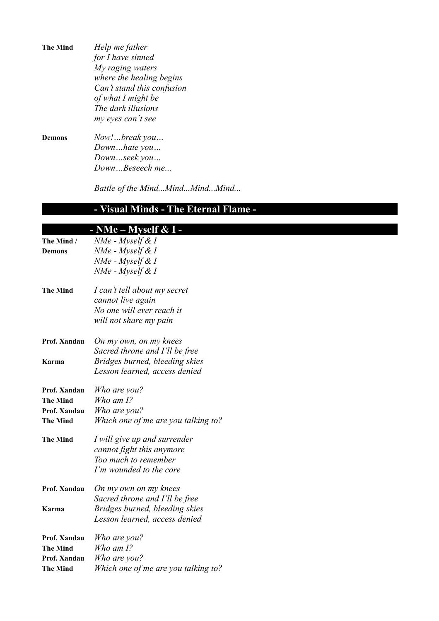| <b>The Mind</b> | Help me father             |  |  |
|-----------------|----------------------------|--|--|
|                 | for I have sinned          |  |  |
|                 | My raging waters           |  |  |
|                 | where the healing begins   |  |  |
|                 | Can't stand this confusion |  |  |
|                 | of what I might be         |  |  |
|                 | The dark illusions         |  |  |
|                 | my eyes can't see          |  |  |
| Demons          | Now!break you              |  |  |
|                 | Downhate you               |  |  |
|                 | Downseek you               |  |  |

*Down…Beseech me*...

*Battle of the Mind...Mind...Mind...Mind...*

## **- Visual Minds - The Eternal Flame -**

|                 | - NMe – Myself $& I$ -              |
|-----------------|-------------------------------------|
| The Mind /      | NMe - Myself & I                    |
| Demons          | NMe - Myself & I                    |
|                 | $NMe$ - Myself & I                  |
|                 | NMe - Myself & I                    |
| <b>The Mind</b> | I can't tell about my secret        |
|                 | cannot live again                   |
|                 | No one will ever reach it           |
|                 | will not share my pain              |
| Prof. Xandau    | On my own, on my knees              |
|                 | Sacred throne and I'll be free      |
| Karma           | Bridges burned, bleeding skies      |
|                 | Lesson learned, access denied       |
| Prof. Xandau    | Who are you?                        |
| <b>The Mind</b> | Who am $I$ ?                        |
| Prof. Xandau    | Who are you?                        |
| <b>The Mind</b> | Which one of me are you talking to? |
| <b>The Mind</b> | I will give up and surrender        |
|                 | cannot fight this anymore           |
|                 | Too much to remember                |
|                 | I'm wounded to the core             |
| Prof. Xandau    | On my own on my knees               |
|                 | Sacred throne and I'll be free      |
| Karma           | Bridges burned, bleeding skies      |
|                 | Lesson learned, access denied       |
| Prof. Xandau    | Who are you?                        |
| <b>The Mind</b> | Who am $I$ ?                        |
| Prof. Xandau    | Who are you?                        |
| <b>The Mind</b> | Which one of me are you talking to? |
|                 |                                     |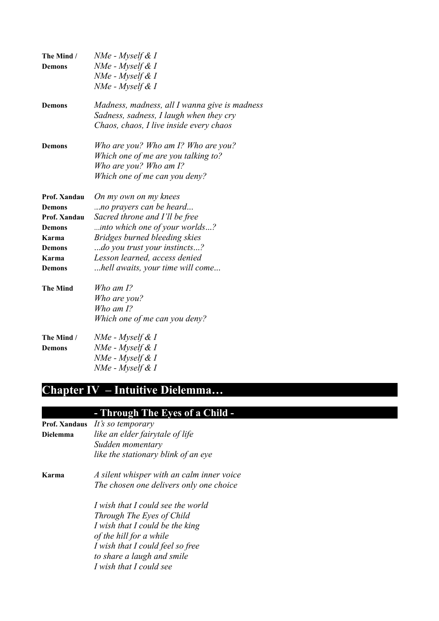| The Mind /      | NMe - Myself & I                              |
|-----------------|-----------------------------------------------|
| <b>Demons</b>   | NMe - Myself & I                              |
|                 | $NMe$ - Myself & I                            |
|                 | NMe - Myself & I                              |
| <b>Demons</b>   | Madness, madness, all I wanna give is madness |
|                 | Sadness, sadness, I laugh when they cry       |
|                 | Chaos, chaos, I live inside every chaos       |
| <b>Demons</b>   | Who are you? Who am I? Who are you?           |
|                 | Which one of me are you talking to?           |
|                 | Who are you? Who am I?                        |
|                 | Which one of me can you deny?                 |
| Prof. Xandau    | On my own on my knees                         |
| <b>Demons</b>   | no prayers can be heard                       |
| Prof. Xandau    | Sacred throne and I'll be free                |
| <b>Demons</b>   | into which one of your worlds?                |
| Karma           | Bridges burned bleeding skies                 |
| <b>Demons</b>   | do you trust your instincts?                  |
| Karma           | Lesson learned, access denied                 |
| <b>Demons</b>   | hell awaits, your time will come              |
| <b>The Mind</b> | Who am I?                                     |
|                 | Who are you?                                  |
|                 | Who am $I$ ?                                  |
|                 | Which one of me can you deny?                 |
| The Mind /      | NMe - Myself & I                              |
| <b>Demons</b>   | NMe - Myself & I                              |
|                 | NMe - Myself & I                              |
|                 | NMe - Myself & I                              |

# **Chapter IV – Intuitive Dielemma…**

### **- Through The Eyes of a Child -**

- **Prof. Xandaus** *It's so temporary* **Dielemma** *like an elder fairytale of life Sudden momentary like the stationary blink of an eye*
- **Karma** *A silent whisper with an calm inner voice The chosen one delivers only one choice*

*I wish that I could see the world Through The Eyes of Child I wish that I could be the king of the hill for a while I wish that I could feel so free to share a laugh and smile I wish that I could see*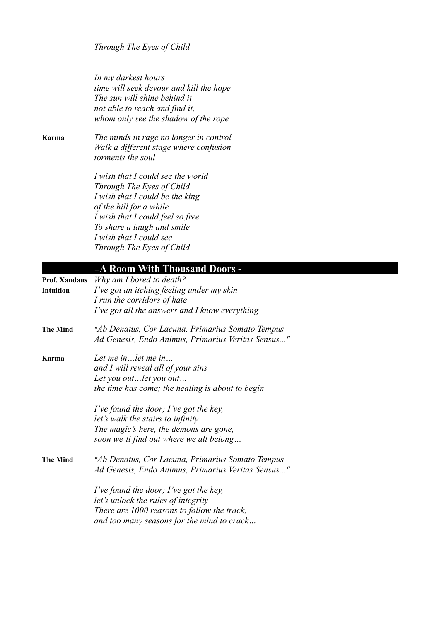*Through The Eyes of Child*

*In my darkest hours time will seek devour and kill the hope The sun will shine behind it not able to reach and find it, whom only see the shadow of the rope*

**Karma** *The minds in rage no longer in control Walk a different stage where confusion torments the soul*

> *I wish that I could see the world Through The Eyes of Child I wish that I could be the king of the hill for a while I wish that I could feel so free To share a laugh and smile I wish that I could see Through The Eyes of Child*

### <sup>−</sup>**A Room With Thousand Doors -**

| <b>Prof. Xandaus</b> | Why am I bored to death?                           |
|----------------------|----------------------------------------------------|
| <b>Intuition</b>     | I've got an itching feeling under my skin          |
|                      | I run the corridors of hate                        |
|                      | I've got all the answers and I know everything     |
| <b>The Mind</b>      | "Ab Denatus, Cor Lacuna, Primarius Somato Tempus   |
|                      | Ad Genesis, Endo Animus, Primarius Veritas Sensus" |
| Karma                | Let me in let me in                                |
|                      | and I will reveal all of your sins                 |
|                      | Let you outlet you out                             |
|                      | the time has come; the healing is about to begin   |
|                      | I've found the door; I've got the key,             |
|                      | let's walk the stairs to infinity                  |
|                      | The magic's here, the demons are gone,             |
|                      | soon we'll find out where we all belong            |
| <b>The Mind</b>      | "Ab Denatus, Cor Lacuna, Primarius Somato Tempus   |
|                      | Ad Genesis, Endo Animus, Primarius Veritas Sensus" |
|                      | I've found the door; I've got the key,             |
|                      | let's unlock the rules of integrity                |
|                      | There are 1000 reasons to follow the track,        |
|                      | and too many seasons for the mind to crack         |
|                      |                                                    |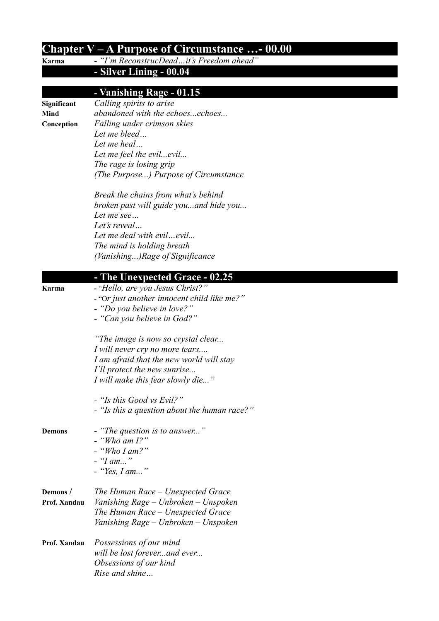| Chapter $V - A$ Purpose of Circumstance - 00.00 |                                              |  |
|-------------------------------------------------|----------------------------------------------|--|
| Karma                                           | - "I'm ReconstrucDeadit's Freedom ahead"     |  |
|                                                 | - Silver Lining - 00.04                      |  |
|                                                 | - Vanishing Rage - 01.15                     |  |
| Significant                                     | Calling spirits to arise                     |  |
| Mind                                            | abandoned with the echoesechoes              |  |
| Conception                                      | Falling under crimson skies                  |  |
|                                                 | Let me bleed                                 |  |
|                                                 | Let me heal                                  |  |
|                                                 | Let me feel the evilevil                     |  |
|                                                 | The rage is losing grip                      |  |
|                                                 | (The Purpose) Purpose of Circumstance        |  |
|                                                 | Break the chains from what's behind          |  |
|                                                 | broken past will guide youand hide you       |  |
|                                                 | Let me see                                   |  |
|                                                 | Let's reveal                                 |  |
|                                                 | Let me deal with evilevil                    |  |
|                                                 | The mind is holding breath                   |  |
|                                                 | (Vanishing)Rage of Significance              |  |
|                                                 | - The Unexpected Grace - 02.25               |  |
| Karma                                           | - "Hello, are you Jesus Christ?"             |  |
|                                                 | - "Or just another innocent child like me?"  |  |
|                                                 | - "Do you believe in love?"                  |  |
|                                                 | - "Can you believe in God?"                  |  |
|                                                 | "The image is now so crystal clear           |  |
|                                                 | I will never cry no more tears               |  |
|                                                 | I am afraid that the new world will stay     |  |
|                                                 | I'll protect the new sunrise                 |  |
|                                                 | I will make this fear slowly die"            |  |
|                                                 | - "Is this Good vs Evil?"                    |  |
|                                                 | - "Is this a question about the human race?" |  |
| <b>Demons</b>                                   | - "The question is to answer"                |  |
|                                                 | $-$ "Who am $I$ ?"                           |  |
|                                                 | $-$ "Who I am?"                              |  |
|                                                 | $-$ "I am"                                   |  |
|                                                 | - "Yes, I am"                                |  |
| Demons/                                         | The Human Race – Unexpected Grace            |  |
| Prof. Xandau                                    | Vanishing Rage – Unbroken – Unspoken         |  |
|                                                 | The Human Race - Unexpected Grace            |  |
|                                                 | Vanishing Rage - Unbroken - Unspoken         |  |
| Prof. Xandau                                    | Possessions of our mind                      |  |
|                                                 | will be lost foreverand ever                 |  |
|                                                 | Obsessions of our kind                       |  |
|                                                 | Rise and shine                               |  |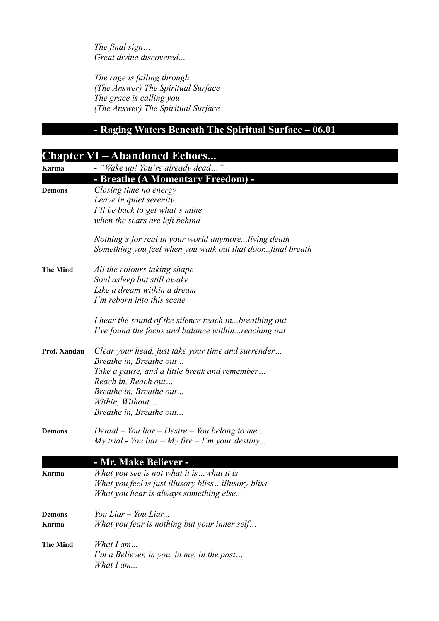*The final sign… Great divine discovered*...

*The rage is falling through (The Answer) The Spiritual Surface The grace is calling you (The Answer) The Spiritual Surface*

## **- Raging Waters Beneath The Spiritual Surface – 06.01**

|                 | <b>Chapter VI – Abandoned Echoes</b>                       |
|-----------------|------------------------------------------------------------|
| Karma           | - "Wake up! You're already dead"                           |
|                 | - Breathe (A Momentary Freedom) -                          |
| <b>Demons</b>   | Closing time no energy                                     |
|                 | Leave in quiet serenity                                    |
|                 | I'll be back to get what's mine                            |
|                 | when the scars are left behind                             |
|                 | Nothing's for real in your world anymoreliving death       |
|                 | Something you feel when you walk out that doorfinal breath |
| <b>The Mind</b> | All the colours taking shape                               |
|                 | Soul asleep but still awake                                |
|                 | Like a dream within a dream                                |
|                 | I'm reborn into this scene                                 |
|                 | I hear the sound of the silence reach inbreathing out      |
|                 | I've found the focus and balance withinreaching out        |
| Prof. Xandau    | Clear your head, just take your time and surrender         |
|                 | Breathe in, Breathe out                                    |
|                 | Take a pause, and a little break and remember              |
|                 | Reach in, Reach out                                        |
|                 | Breathe in, Breathe out                                    |
|                 | Within, Without                                            |
|                 | Breathe in, Breathe out                                    |
| <b>Demons</b>   | Denial – You liar – Desire – You belong to me              |
|                 | My trial - You liar – My fire – I'm your destiny           |
|                 | - Mr. Make Believer -                                      |
| Karma           | What you see is not what it iswhat it is                   |
|                 | What you feel is just illusory blissillusory bliss         |
|                 | What you hear is always something else                     |
| <b>Demons</b>   | You Liar – You Liar                                        |
| Karma           | What you fear is nothing but your inner self               |
| <b>The Mind</b> | What $I$ am                                                |
|                 | I'm a Believer, in you, in me, in the past                 |
|                 | What I am                                                  |
|                 |                                                            |